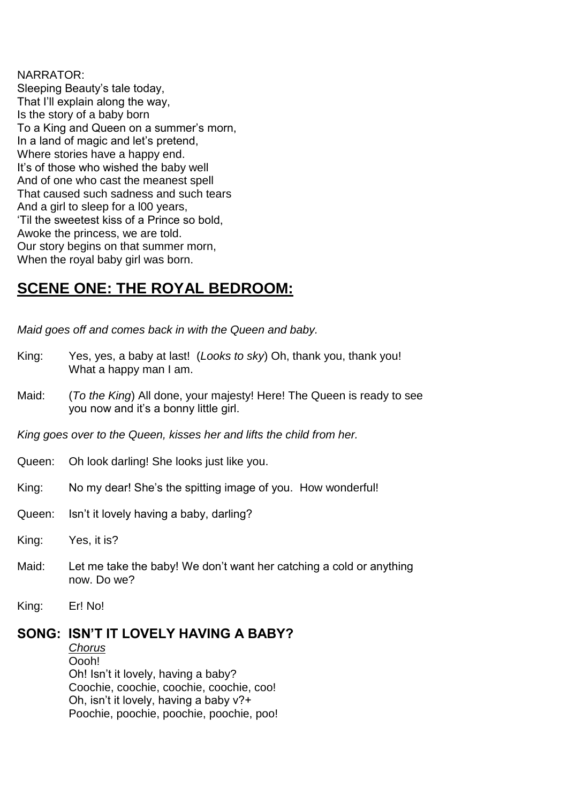### NARRATOR:

Sleeping Beauty's tale today, That I'll explain along the way, Is the story of a baby born To a King and Queen on a summer's morn, In a land of magic and let's pretend, Where stories have a happy end. It's of those who wished the baby well And of one who cast the meanest spell That caused such sadness and such tears And a girl to sleep for a l00 years, 'Til the sweetest kiss of a Prince so bold, Awoke the princess, we are told. Our story begins on that summer morn, When the royal baby girl was born.

# **SCENE ONE: THE ROYAL BEDROOM:**

*Maid goes off and comes back in with the Queen and baby.*

- King: Yes, yes, a baby at last! (*Looks to sky*) Oh, thank you, thank you! What a happy man I am.
- Maid: (*To the King*) All done, your majesty! Here! The Queen is ready to see you now and it's a bonny little girl.

*King goes over to the Queen, kisses her and lifts the child from her.*

- Queen: Oh look darling! She looks just like you.
- King: No my dear! She's the spitting image of you. How wonderful!
- Queen: Isn't it lovely having a baby, darling?
- King: Yes, it is?
- Maid: Let me take the baby! We don't want her catching a cold or anything now. Do we?
- King: Er! No!

## **SONG: ISN'T IT LOVELY HAVING A BABY?**

*Chorus* Oooh! Oh! Isn't it lovely, having a baby? Coochie, coochie, coochie, coochie, coo! Oh, isn't it lovely, having a baby v?+ Poochie, poochie, poochie, poochie, poo!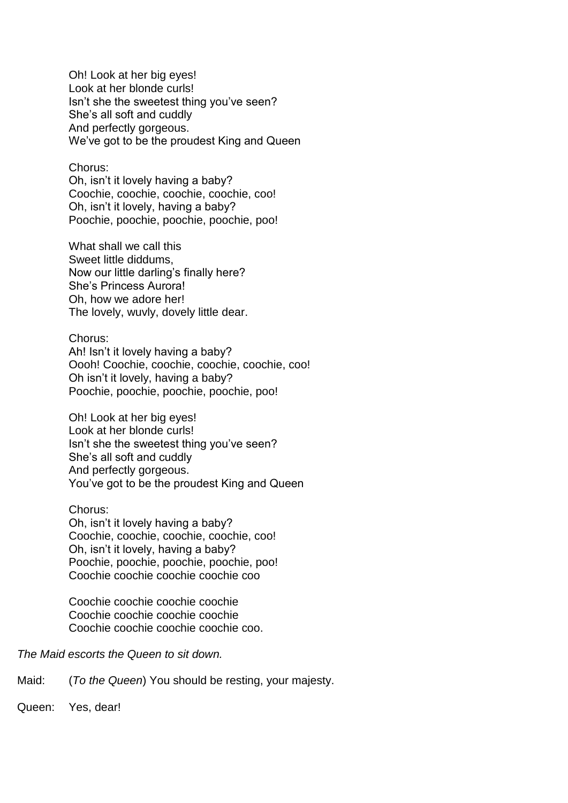Oh! Look at her big eyes! Look at her blonde curls! Isn't she the sweetest thing you've seen? She's all soft and cuddly And perfectly gorgeous. We've got to be the proudest King and Queen

#### Chorus:

Oh, isn't it lovely having a baby? Coochie, coochie, coochie, coochie, coo! Oh, isn't it lovely, having a baby? Poochie, poochie, poochie, poochie, poo!

What shall we call this Sweet little diddums, Now our little darling's finally here? She's Princess Aurora! Oh, how we adore her! The lovely, wuvly, dovely little dear.

Chorus: Ah! Isn't it lovely having a baby? Oooh! Coochie, coochie, coochie, coochie, coo! Oh isn't it lovely, having a baby? Poochie, poochie, poochie, poochie, poo!

Oh! Look at her big eyes! Look at her blonde curls! Isn't she the sweetest thing you've seen? She's all soft and cuddly And perfectly gorgeous. You've got to be the proudest King and Queen

Chorus: Oh, isn't it lovely having a baby? Coochie, coochie, coochie, coochie, coo! Oh, isn't it lovely, having a baby? Poochie, poochie, poochie, poochie, poo! Coochie coochie coochie coochie coo

Coochie coochie coochie coochie Coochie coochie coochie coochie Coochie coochie coochie coochie coo.

*The Maid escorts the Queen to sit down.*

Maid: (*To the Queen*) You should be resting, your majesty.

Queen: Yes, dear!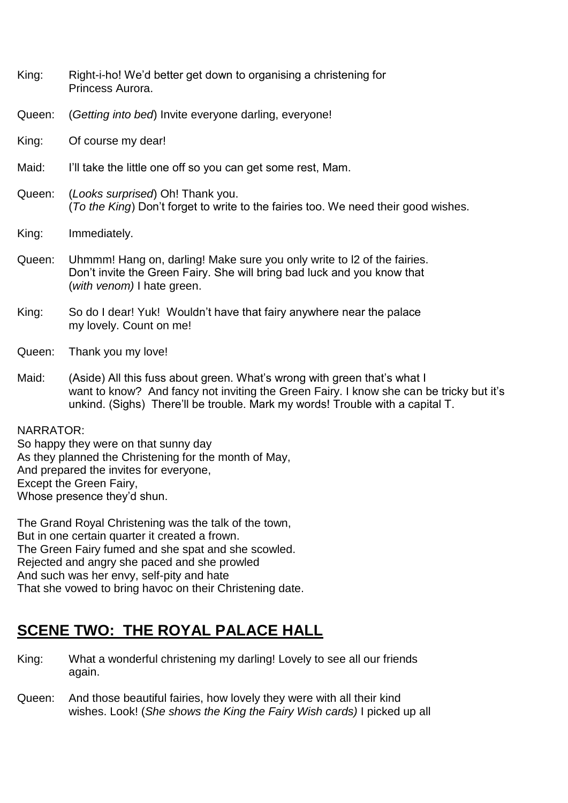- King: Right-i-ho! We'd better get down to organising a christening for Princess Aurora.
- Queen: (*Getting into bed*) Invite everyone darling, everyone!
- King: Of course my dear!
- Maid: I'll take the little one off so you can get some rest, Mam.
- Queen: (*Looks surprised*) Oh! Thank you. (*To the King*) Don't forget to write to the fairies too. We need their good wishes.
- King: Immediately.
- Queen: Uhmmm! Hang on, darling! Make sure you only write to l2 of the fairies. Don't invite the Green Fairy. She will bring bad luck and you know that (*with venom)* I hate green.
- King: So do I dear! Yuk! Wouldn't have that fairy anywhere near the palace my lovely. Count on me!
- Queen: Thank you my love!
- Maid: (Aside) All this fuss about green. What's wrong with green that's what I want to know? And fancy not inviting the Green Fairy. I know she can be tricky but it's unkind. (Sighs) There'll be trouble. Mark my words! Trouble with a capital T.

### NARRATOR:

So happy they were on that sunny day As they planned the Christening for the month of May, And prepared the invites for everyone, Except the Green Fairy, Whose presence they'd shun.

The Grand Royal Christening was the talk of the town, But in one certain quarter it created a frown. The Green Fairy fumed and she spat and she scowled. Rejected and angry she paced and she prowled And such was her envy, self-pity and hate That she vowed to bring havoc on their Christening date.

# **SCENE TWO: THE ROYAL PALACE HALL**

- King: What a wonderful christening my darling! Lovely to see all our friends again.
- Queen: And those beautiful fairies, how lovely they were with all their kind wishes. Look! (*She shows the King the Fairy Wish cards)* I picked up all